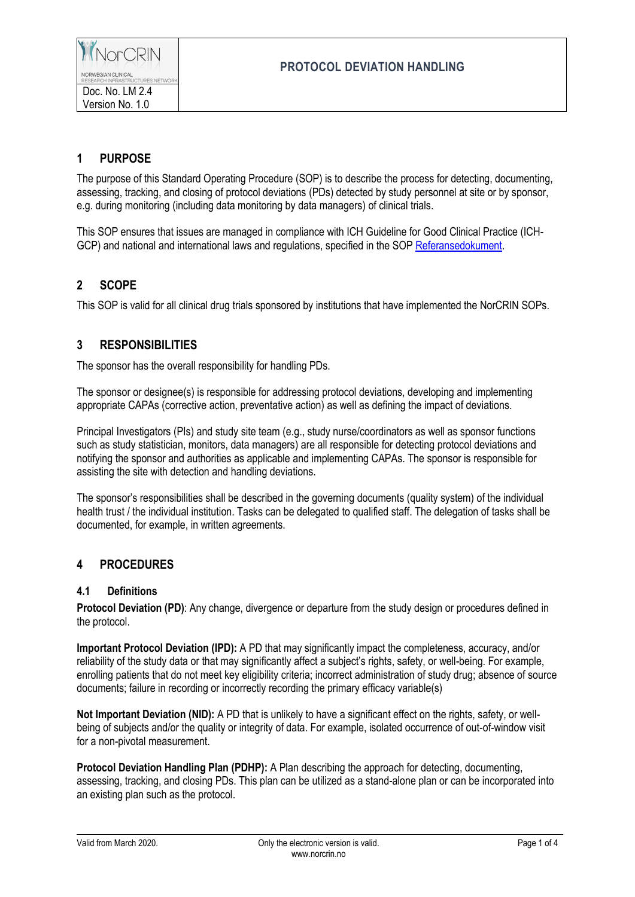# **1 PURPOSE**

The purpose of this Standard Operating Procedure (SOP) is to describe the process for detecting, documenting, assessing, tracking, and closing of protocol deviations (PDs) detected by study personnel at site or by sponsor, e.g. during monitoring (including data monitoring by data managers) of clinical trials.

This SOP ensures that issues are managed in compliance with ICH Guideline for Good Clinical Practice (ICH-GCP) and national and international laws and regulations, specified in the SOP [Referansedokument.](https://norcrin.no/documents/2017/05/referansedokument.pdf)

# **2 SCOPE**

This SOP is valid for all clinical drug trials sponsored by institutions that have implemented the NorCRIN SOPs.

# **3 RESPONSIBILITIES**

The sponsor has the overall responsibility for handling PDs.

The sponsor or designee(s) is responsible for addressing protocol deviations, developing and implementing appropriate CAPAs (corrective action, preventative action) as well as defining the impact of deviations.

Principal Investigators (PIs) and study site team (e.g., study nurse/coordinators as well as sponsor functions such as study statistician, monitors, data managers) are all responsible for detecting protocol deviations and notifying the sponsor and authorities as applicable and implementing CAPAs. The sponsor is responsible for assisting the site with detection and handling deviations.

The sponsor's responsibilities shall be described in the governing documents (quality system) of the individual health trust / the individual institution. Tasks can be delegated to qualified staff. The delegation of tasks shall be documented, for example, in written agreements.

# **4 PROCEDURES**

#### **4.1 Definitions**

**Protocol Deviation (PD)**: Any change, divergence or departure from the study design or procedures defined in the protocol.

**Important Protocol Deviation (IPD):** A PD that may significantly impact the completeness, accuracy, and/or reliability of the study data or that may significantly affect a subject's rights, safety, or well-being. For example, enrolling patients that do not meet key eligibility criteria; incorrect administration of study drug; absence of source documents; failure in recording or incorrectly recording the primary efficacy variable(s)

**Not Important Deviation (NID):** A PD that is unlikely to have a significant effect on the rights, safety, or wellbeing of subjects and/or the quality or integrity of data. For example, isolated occurrence of out-of-window visit for a non-pivotal measurement.

**Protocol Deviation Handling Plan (PDHP):** A Plan describing the approach for detecting, documenting, assessing, tracking, and closing PDs. This plan can be utilized as a stand-alone plan or can be incorporated into an existing plan such as the protocol.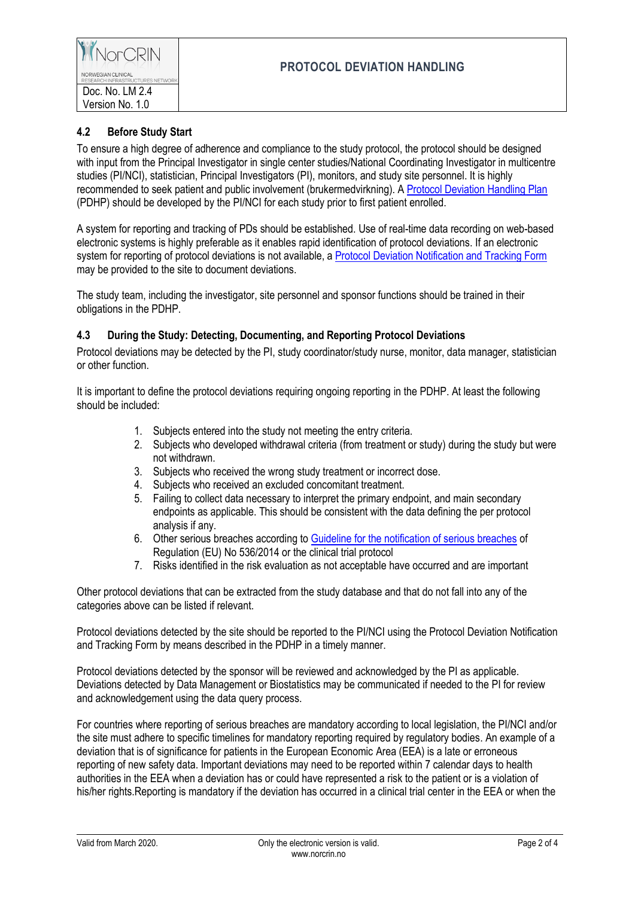### **4.2 Before Study Start**

To ensure a high degree of adherence and compliance to the study protocol, the protocol should be designed with input from the Principal Investigator in single center studies/National Coordinating Investigator in multicentre studies (PI/NCI), statistician, Principal Investigators (PI), monitors, and study site personnel. It is highly recommended to seek patient and public involvement (brukermedvirkning). [A Protocol Deviation Handling Plan](https://norcrin.no/documents/2020/03/protocol-deviation-handling-plan.docx) (PDHP) should be developed by the PI/NCI for each study prior to first patient enrolled.

A system for reporting and tracking of PDs should be established. Use of real-time data recording on web-based electronic systems is highly preferable as it enables rapid identification of protocol deviations. If an electronic system for reporting of protocol deviations is not available, a [Protocol Deviation Notification and Tracking Form](https://norcrin.no/documents/2020/03/protocol-deviation-notification-and-tracking-form.docx) may be provided to the site to document deviations.

The study team, including the investigator, site personnel and sponsor functions should be trained in their obligations in the PDHP.

### **4.3 During the Study: Detecting, Documenting, and Reporting Protocol Deviations**

Protocol deviations may be detected by the PI, study coordinator/study nurse, monitor, data manager, statistician or other function.

It is important to define the protocol deviations requiring ongoing reporting in the PDHP. At least the following should be included:

- 1. Subjects entered into the study not meeting the entry criteria.
- 2. Subjects who developed withdrawal criteria (from treatment or study) during the study but were not withdrawn.
- 3. Subjects who received the wrong study treatment or incorrect dose.
- 4. Subjects who received an excluded concomitant treatment.
- 5. Failing to collect data necessary to interpret the primary endpoint, and main secondary endpoints as applicable. This should be consistent with the data defining the per protocol analysis if any.
- 6. Other serious breaches according t[o Guideline for the notification of serious breaches](https://www.google.com/url?sa=t&rct=j&q=&esrc=s&source=web&cd=3&ved=2ahUKEwidxJHkpYLlAhUZ6KYKHQAQBMcQFjACegQIAxAC&url=https%3A%2F%2Fwww.ema.europa.eu%2Fen%2Fdocuments%2Fscientific-guideline%2Fdraft-guideline-notification-serious-breaches-regulation-eu-no-536%2F2014-clinical-trial-protocol_en.pdf&usg=AOvVaw0LxAIYbUSRpY6PD96Z20ar) of Regulation (EU) No 536/2014 or the clinical trial protocol
- 7. Risks identified in the risk evaluation as not acceptable have occurred and are important

Other protocol deviations that can be extracted from the study database and that do not fall into any of the categories above can be listed if relevant.

Protocol deviations detected by the site should be reported to the PI/NCI using the Protocol Deviation Notification and Tracking Form by means described in the PDHP in a timely manner.

Protocol deviations detected by the sponsor will be reviewed and acknowledged by the PI as applicable. Deviations detected by Data Management or Biostatistics may be communicated if needed to the PI for review and acknowledgement using the data query process.

For countries where reporting of serious breaches are mandatory according to local legislation, the PI/NCI and/or the site must adhere to specific timelines for mandatory reporting required by regulatory bodies. An example of a deviation that is of significance for patients in the European Economic Area (EEA) is a late or erroneous reporting of new safety data. Important deviations may need to be reported within 7 calendar days to health authorities in the EEA when a deviation has or could have represented a risk to the patient or is a violation of his/her rights. Reporting is mandatory if the deviation has occurred in a clinical trial center in the EEA or when the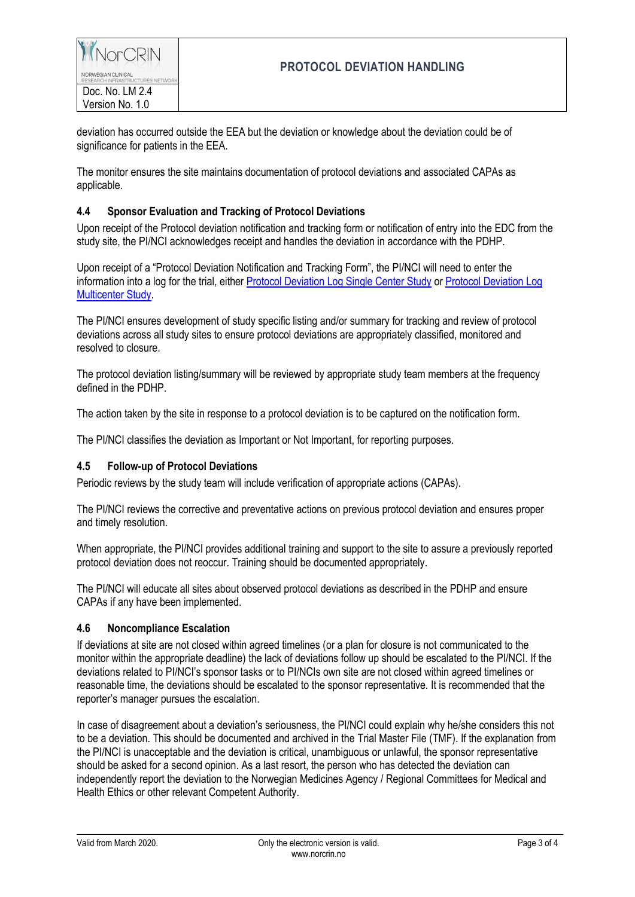deviation has occurred outside the EEA but the deviation or knowledge about the deviation could be of significance for patients in the EEA.

The monitor ensures the site maintains documentation of protocol deviations and associated CAPAs as applicable.

### **4.4 Sponsor Evaluation and Tracking of Protocol Deviations**

Upon receipt of the Protocol deviation notification and tracking form or notification of entry into the EDC from the study site, the PI/NCI acknowledges receipt and handles the deviation in accordance with the PDHP.

Upon receipt of a "Protocol Deviation Notification and Tracking Form", the PI/NCI will need to enter the information into a log for the trial, either [Protocol Deviation Log Single Center Study](https://norcrin.no/documents/2020/03/protocol-deviation-log-single-center-study.xlsx) o[r Protocol Deviation Log](https://norcrin.no/documents/2020/03/protocol-deviation-log-multicenter-study.xlsx)  **[Multicenter Study.](https://norcrin.no/documents/2020/03/protocol-deviation-log-multicenter-study.xlsx)** 

The PI/NCI ensures development of study specific listing and/or summary for tracking and review of protocol deviations across all study sites to ensure protocol deviations are appropriately classified, monitored and resolved to closure.

The protocol deviation listing/summary will be reviewed by appropriate study team members at the frequency defined in the PDHP.

The action taken by the site in response to a protocol deviation is to be captured on the notification form.

The PI/NCI classifies the deviation as Important or Not Important, for reporting purposes.

#### **4.5 Follow-up of Protocol Deviations**

Periodic reviews by the study team will include verification of appropriate actions (CAPAs).

The PI/NCI reviews the corrective and preventative actions on previous protocol deviation and ensures proper and timely resolution.

When appropriate, the PI/NCI provides additional training and support to the site to assure a previously reported protocol deviation does not reoccur. Training should be documented appropriately.

The PI/NCI will educate all sites about observed protocol deviations as described in the PDHP and ensure CAPAs if any have been implemented.

#### **4.6 Noncompliance Escalation**

If deviations at site are not closed within agreed timelines (or a plan for closure is not communicated to the monitor within the appropriate deadline) the lack of deviations follow up should be escalated to the PI/NCI. If the deviations related to PI/NCI's sponsor tasks or to PI/NCIs own site are not closed within agreed timelines or reasonable time, the deviations should be escalated to the sponsor representative*.* It is recommended that the reporter's manager pursues the escalation.

In case of disagreement about a deviation's seriousness, the PI/NCI could explain why he/she considers this not to be a deviation. This should be documented and archived in the Trial Master File (TMF). If the explanation from the PI/NCI is unacceptable and the deviation is critical, unambiguous or unlawful, the sponsor representative should be asked for a second opinion. As a last resort, the person who has detected the deviation can independently report the deviation to the Norwegian Medicines Agency / Regional Committees for Medical and Health Ethics or other relevant Competent Authority.